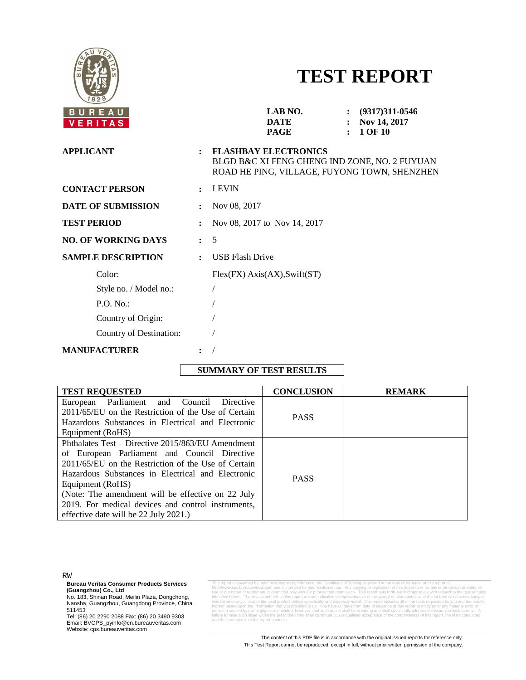

# **TEST REPORT**

| BUREAU<br>VERITAS          |                      | LAB NO.<br>DATE<br>PAGE                                                                                                      | $(9317)311 - 0546$<br>Nov 14, 2017<br><b>1 OF 10</b> |
|----------------------------|----------------------|------------------------------------------------------------------------------------------------------------------------------|------------------------------------------------------|
| <b>APPLICANT</b>           | $\ddot{\cdot}$       | <b>FLASHBAY ELECTRONICS</b><br>BLGD B&C XI FENG CHENG IND ZONE, NO. 2 FUYUAN<br>ROAD HE PING, VILLAGE, FUYONG TOWN, SHENZHEN |                                                      |
| <b>CONTACT PERSON</b>      | $\ddot{\phantom{a}}$ | <b>LEVIN</b>                                                                                                                 |                                                      |
| <b>DATE OF SUBMISSION</b>  |                      | Nov 08, 2017                                                                                                                 |                                                      |
| <b>TEST PERIOD</b>         | $\ddot{\cdot}$       | Nov 08, 2017 to Nov 14, 2017                                                                                                 |                                                      |
| <b>NO. OF WORKING DAYS</b> | $\mathbf{r}$         | 5                                                                                                                            |                                                      |
| <b>SAMPLE DESCRIPTION</b>  | $\ddot{\cdot}$       | <b>USB Flash Drive</b>                                                                                                       |                                                      |
| Color:                     |                      | Flex(FX) Axis(AX), Swift(ST)                                                                                                 |                                                      |
| Style no. / Model no.:     |                      |                                                                                                                              |                                                      |
| P.O. No.                   |                      |                                                                                                                              |                                                      |
| Country of Origin:         |                      |                                                                                                                              |                                                      |
| Country of Destination:    |                      |                                                                                                                              |                                                      |
| <b>MANUFACTURER</b>        | $\ddot{\cdot}$       |                                                                                                                              |                                                      |
|                            |                      |                                                                                                                              |                                                      |

## **SUMMARY OF TEST RESULTS**

| <b>TEST REQUESTED</b>                               | <b>CONCLUSION</b> | <b>REMARK</b> |
|-----------------------------------------------------|-------------------|---------------|
| European Parliament and Council<br>Directive        |                   |               |
| 2011/65/EU on the Restriction of the Use of Certain | <b>PASS</b>       |               |
| Hazardous Substances in Electrical and Electronic   |                   |               |
| Equipment (RoHS)                                    |                   |               |
| Phthalates Test – Directive 2015/863/EU Amendment   |                   |               |
| of European Parliament and Council Directive        |                   |               |
| 2011/65/EU on the Restriction of the Use of Certain |                   |               |
| Hazardous Substances in Electrical and Electronic   | <b>PASS</b>       |               |
| Equipment (RoHS)                                    |                   |               |
| (Note: The amendment will be effective on 22 July   |                   |               |
| 2019. For medical devices and control instruments,  |                   |               |
| effective date will be 22 July 2021.)               |                   |               |

RW

**Bureau Veritas Consumer Products Services**

**(Guangzhou) Co., Ltd**<br>No. 183, Shinan Road, Meilin Plaza, Dongchong,<br>Nansha, Guangzhou, Guangdong Province, China 511453

Tel: (86) 20 2290 2088 Fax: (86) 20 3490 9303 Email: BVCPS\_pyinfo@cn.bureauveritas.com Website: cps.bureauveritas.com

This report is governed by, and incorporates by reference, the Conditions of Testing as posted at the date of issuance of this report at his report at the method of the method of the state of the method of the state of the thereof based upon the information that you provided to us. You have 60 days from date of issuance of this report to notify us of any material error or<br>omission caused by our negligence; provided, however, that such notify ess of the report co

> The content of this PDF file is in accordance with the original issued reports for reference only. This Test Report cannot be reproduced, except in full, without prior written permission of the company.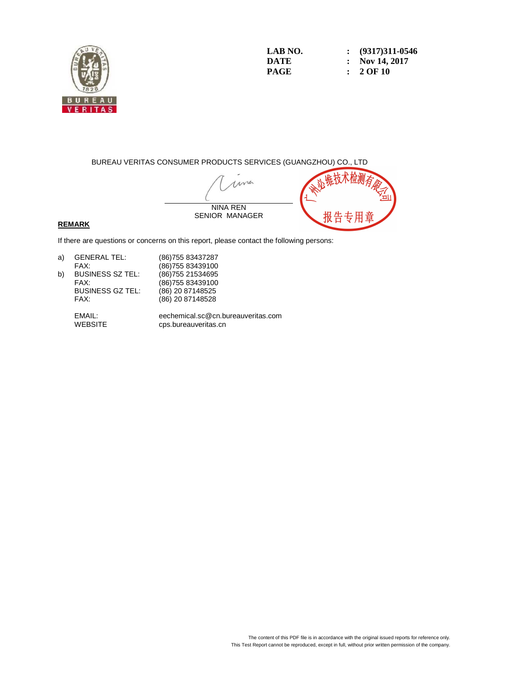

**LAB NO. : (9317)311-0546 DATE : Nov 14, 2017 PAGE : 2 OF 10** 

BUREAU VERITAS CONSUMER PRODUCTS SERVICES (GUANGZHOU) CO., LTD

ma NINA REN SENIOR MANAGER

### **REMARK**

If there are questions or concerns on this report, please contact the following persons:

| a) | <b>GENERAL TEL:</b>     | (86) 755 83437287  |
|----|-------------------------|--------------------|
|    | FAX:                    | (86) 755 83439100  |
| b) | <b>BUSINESS SZ TEL:</b> | (86) 755 21534 695 |
|    | FAX:                    | (86) 755 83439100  |
|    | <b>BUSINESS GZ TEL:</b> | (86) 20 87148525   |
|    | FAX:                    | (86) 20 87148528   |
|    |                         |                    |

 EMAIL: eechemical.sc@cn.bureauveritas.com cps.bureauveritas.cn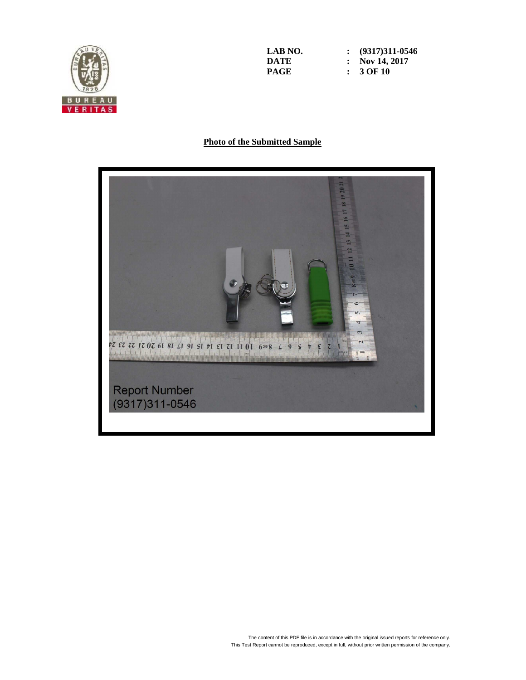

**LAB NO. : (9317)311-0546 DATE : Nov 14, 2017 PAGE : 3 OF 10** 

## **Photo of the Submitted Sample**

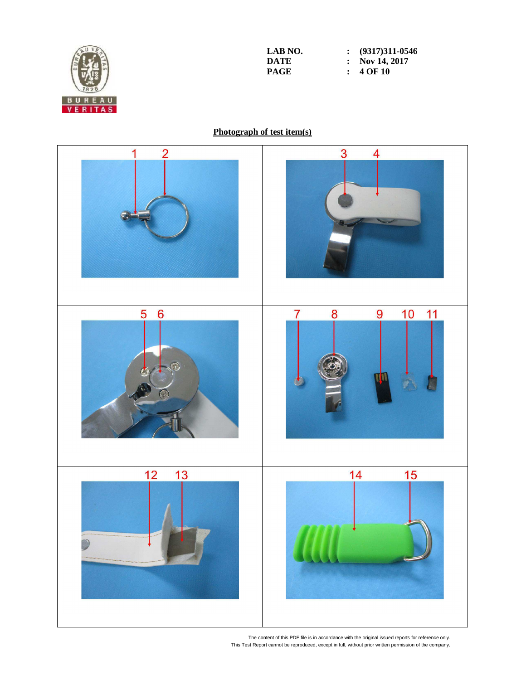

**LAB NO. : (9317)311-0546 DATE : Nov 14, 2017**<br>**PAGE : 4 OF 10 PAGE : 4 OF 10** 

# **Photograph of test item(s)**



The content of this PDF file is in accordance with the original issued reports for reference only. This Test Report cannot be reproduced, except in full, without prior written permission of the company.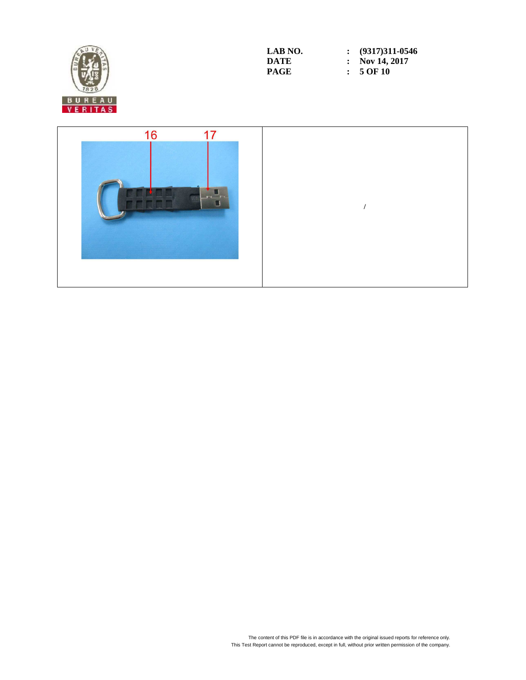

| LAB NO. | $\colon$ (9317)311-0546 |
|---------|-------------------------|
| DATE    | : Nov 14, 2017          |
| PAGE    | $: 5$ OF 10             |

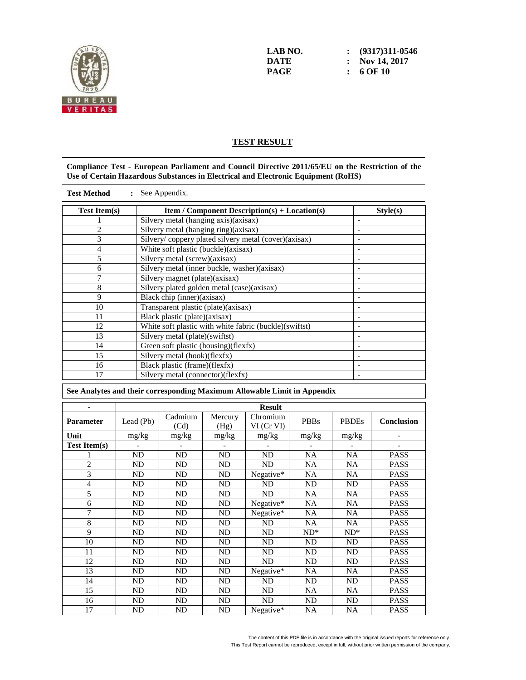

**LAB NO. : (9317)311-0546 DATE : Nov 14, 2017 PAGE : 6 OF 10** 

## **TEST RESULT**

#### **Compliance Test - European Parliament and Council Directive 2011/65/EU on the Restriction of the Use of Certain Hazardous Substances in Electrical and Electronic Equipment (RoHS)**

| <b>Test Method</b><br>See Appendix. |                                                        |          |  |  |  |  |
|-------------------------------------|--------------------------------------------------------|----------|--|--|--|--|
| <b>Test Item(s)</b>                 | <b>Item / Component Description(s) + Location(s)</b>   | Style(s) |  |  |  |  |
|                                     | Silvery metal (hanging axis)(axisax)                   |          |  |  |  |  |
| 2                                   | Silvery metal (hanging ring)(axisax)                   |          |  |  |  |  |
| 3                                   | Silvery/ coppery plated silvery metal (cover)(axisax)  |          |  |  |  |  |
| 4                                   | White soft plastic (buckle)(axisax)                    |          |  |  |  |  |
| 5                                   | Silvery metal (screw)(axisax)                          |          |  |  |  |  |
| 6                                   | Silvery metal (inner buckle, washer)(axisax)           |          |  |  |  |  |
| 7                                   | Silvery magnet (plate)(axisax)                         |          |  |  |  |  |
| 8                                   | Silvery plated golden metal (case)(axisax)             |          |  |  |  |  |
| 9                                   | Black chip (inner)(axisax)                             |          |  |  |  |  |
| 10                                  | Transparent plastic (plate)(axisax)                    |          |  |  |  |  |
| 11                                  | Black plastic (plate)(axisax)                          |          |  |  |  |  |
| 12                                  | White soft plastic with white fabric (buckle)(swiftst) | -        |  |  |  |  |
| 13                                  | Silvery metal (plate)(swiftst)                         |          |  |  |  |  |
| 14                                  | Green soft plastic (housing)(flexfx)                   |          |  |  |  |  |
| 15                                  | Silvery metal (hook)(flexfx)                           |          |  |  |  |  |
| 16                                  | Black plastic (frame)(flexfx)                          |          |  |  |  |  |
| 17                                  | Silvery metal (connector)(flexfx)                      |          |  |  |  |  |
|                                     |                                                        |          |  |  |  |  |

#### **See Analytes and their corresponding Maximum Allowable Limit in Appendix**

|                     | <b>Result</b>  |                 |                 |                             |             |              |                   |  |
|---------------------|----------------|-----------------|-----------------|-----------------------------|-------------|--------------|-------------------|--|
| Parameter           | Lead (Pb)      | Cadmium<br>(Cd) | Mercury<br>(Hg) | Chromium<br>$VI$ (Cr $VI$ ) | <b>PBBs</b> | <b>PBDEs</b> | <b>Conclusion</b> |  |
| Unit                | mg/kg          | $mg/kg$         | mg/kg           | mg/kg                       | mg/kg       | mg/kg        |                   |  |
| <b>Test Item(s)</b> |                |                 |                 | $\overline{a}$              |             |              | $\overline{a}$    |  |
|                     | ND             | ND              | ND              | ND                          | <b>NA</b>   | <b>NA</b>    | <b>PASS</b>       |  |
| $\overline{2}$      | ND             | <b>ND</b>       | N <sub>D</sub>  | <b>ND</b>                   | <b>NA</b>   | <b>NA</b>    | <b>PASS</b>       |  |
| 3                   | ND             | ND              | <b>ND</b>       | Negative*                   | NA          | <b>NA</b>    | <b>PASS</b>       |  |
| 4                   | ND             | <b>ND</b>       | ND              | <b>ND</b>                   | <b>ND</b>   | <b>ND</b>    | <b>PASS</b>       |  |
| 5                   | N <sub>D</sub> | <b>ND</b>       | ND              | <b>ND</b>                   | <b>NA</b>   | <b>NA</b>    | <b>PASS</b>       |  |
| 6                   | ND             | <b>ND</b>       | ND              | Negative*                   | NA          | <b>NA</b>    | <b>PASS</b>       |  |
| 7                   | ND             | <b>ND</b>       | ND              | Negative*                   | <b>NA</b>   | <b>NA</b>    | <b>PASS</b>       |  |
| 8                   | ND             | <b>ND</b>       | ND              | ND                          | <b>NA</b>   | <b>NA</b>    | <b>PASS</b>       |  |
| 9                   | ND             | <b>ND</b>       | N <sub>D</sub>  | ND                          | $ND^*$      | $ND^*$       | <b>PASS</b>       |  |
| 10                  | ND             | <b>ND</b>       | N <sub>D</sub>  | ND                          | <b>ND</b>   | <b>ND</b>    | <b>PASS</b>       |  |
| 11                  | ND             | <b>ND</b>       | ND              | ND                          | <b>ND</b>   | <b>ND</b>    | <b>PASS</b>       |  |
| 12                  | ND             | <b>ND</b>       | <b>ND</b>       | ND                          | <b>ND</b>   | <b>ND</b>    | <b>PASS</b>       |  |
| 13                  | ND             | <b>ND</b>       | ND              | Negative*                   | NA          | <b>NA</b>    | <b>PASS</b>       |  |
| 14                  | ND             | <b>ND</b>       | ND              | <b>ND</b>                   | <b>ND</b>   | <b>ND</b>    | <b>PASS</b>       |  |
| 15                  | ND             | <b>ND</b>       | ND              | <b>ND</b>                   | NA          | <b>NA</b>    | <b>PASS</b>       |  |
| 16                  | ND             | <b>ND</b>       | <b>ND</b>       | ND                          | ND          | ND           | <b>PASS</b>       |  |
| 17                  | ND             | ND              | <b>ND</b>       | Negative $*$                | NA          | <b>NA</b>    | <b>PASS</b>       |  |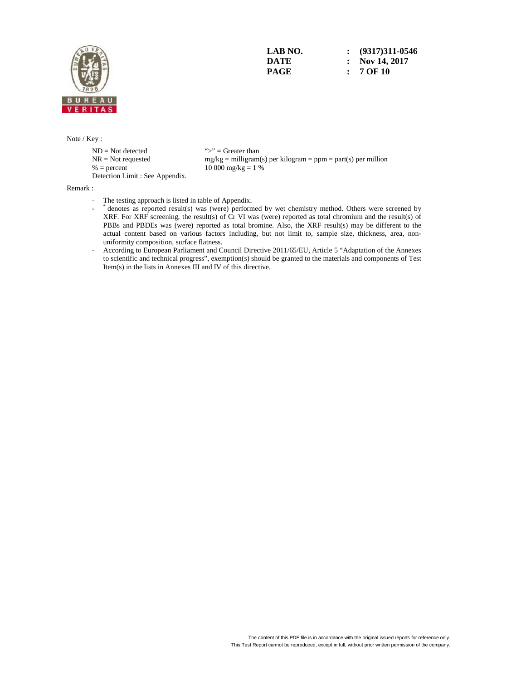

**LAB NO. : (9317)311-0546 DATE : Nov 14, 2017 PAGE : 7 OF 10** 

#### Note / Key :

 $ND = Not detected$  ">" = Greater than<br>  $NR = Not$  requested  $mg/kg = milligram$  $% =$  percent  $10\,000\,\text{mg/kg} = 1\%$ Detection Limit : See Appendix.

 $mg/kg =$  milligram(s) per kilogram = ppm = part(s) per million

Remark :

- The testing approach is listed in table of Appendix.
- \* denotes as reported result(s) was (were) performed by wet chemistry method. Others were screened by XRF. For XRF screening, the result(s) of Cr VI was (were) reported as total chromium and the result(s) of PBBs and PBDEs was (were) reported as total bromine. Also, the XRF result(s) may be different to the actual content based on various factors including, but not limit to, sample size, thickness, area, nonuniformity composition, surface flatness.
	- According to European Parliament and Council Directive 2011/65/EU, Article 5 "Adaptation of the Annexes to scientific and technical progress", exemption(s) should be granted to the materials and components of Test Item(s) in the lists in Annexes III and IV of this directive.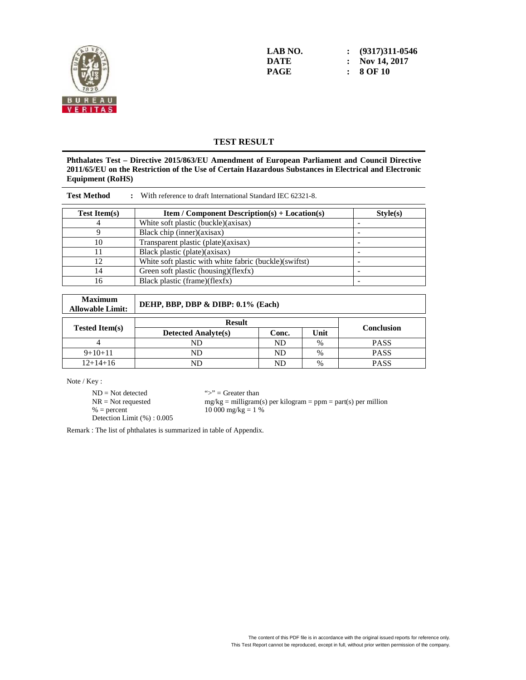

**LAB NO. : (9317)311-0546 DATE : Nov 14, 2017 PAGE : 8 OF 10** 

## **TEST RESULT**

**Phthalates Test – Directive 2015/863/EU Amendment of European Parliament and Council Directive 2011/65/EU on the Restriction of the Use of Certain Hazardous Substances in Electrical and Electronic Equipment (RoHS)** 

| With reference to draft International Standard IEC 62321-8.<br><b>Test Method</b> |                                                        |          |  |  |  |  |  |
|-----------------------------------------------------------------------------------|--------------------------------------------------------|----------|--|--|--|--|--|
| <b>Test Item(s)</b>                                                               | <b>Item</b> / Component Description(s) + Location(s)   | Style(s) |  |  |  |  |  |
|                                                                                   | White soft plastic (buckle)(axisax)                    |          |  |  |  |  |  |
|                                                                                   | Black chip (inner)(axisax)                             |          |  |  |  |  |  |
| 10                                                                                | Transparent plastic (plate)(axisax)                    |          |  |  |  |  |  |
|                                                                                   | Black plastic (plate)(axisax)                          |          |  |  |  |  |  |
| 12                                                                                | White soft plastic with white fabric (buckle)(swiftst) |          |  |  |  |  |  |
| 14                                                                                | Green soft plastic (housing)(flexfx)                   |          |  |  |  |  |  |
| 16                                                                                | Black plastic (frame)(flexfx)                          |          |  |  |  |  |  |

| <b>Maximum</b><br><b>Allowable Limit:</b> | DEHP, BBP, DBP & DIBP: 0.1% (Each) |       |               |                   |  |  |  |
|-------------------------------------------|------------------------------------|-------|---------------|-------------------|--|--|--|
|                                           | <b>Result</b>                      |       |               |                   |  |  |  |
| <b>Tested Item(s)</b>                     | <b>Detected Analyte(s)</b>         | Conc. | Unit          | <b>Conclusion</b> |  |  |  |
|                                           | ND                                 | ND    | %             | <b>PASS</b>       |  |  |  |
| $9+10+11$                                 | ND                                 | ND    | $\%$          | <b>PASS</b>       |  |  |  |
| $12+14+16$                                | ND                                 | ND    | $\frac{0}{0}$ | <b>PASS</b>       |  |  |  |

Note / Key :

 $ND = Not detected$  ">" = Greater than<br>  $NR = Not$  requested  $mg/kg = milligram$ Detection Limit (%) : 0.005

 $NR = Not requested$  mg/kg = milligram(s) per kilogram = ppm = part(s) per million<br>% = percent 10 000 mg/kg = 1 %  $10\,000\,\text{mg/kg} = 1\%$ 

Remark : The list of phthalates is summarized in table of Appendix.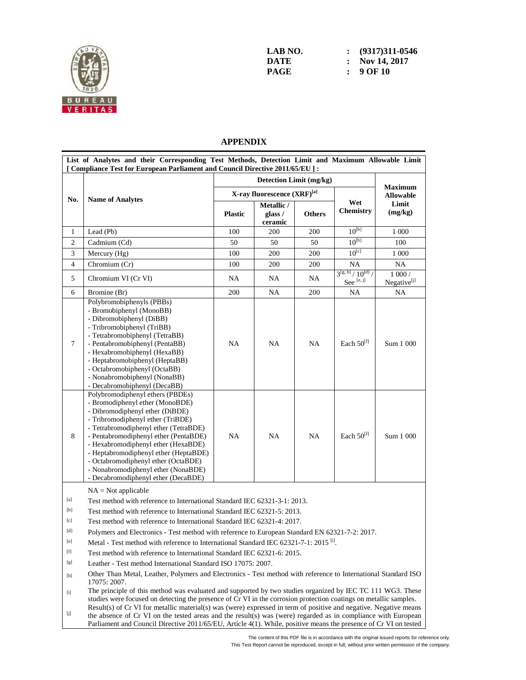

| LAB NO. | $\colon$ (9317)311-0546 |
|---------|-------------------------|
| DATE    | : Nov 14, 2017          |
| PAGE    | : 90F10                 |

## **APPENDIX**

|                                                                                                                                                                                                                                                                                                                                                                                                                                                                                                                                                                                                                                                                                                                                                                                                                                                                                                                                    | [ Compliance Test for European Parliament and Council Directive 2011/65/EU ] :                                                                                                                                                                                                                                                                                                                                                     |                |                                  |               |                                             |                                      |
|------------------------------------------------------------------------------------------------------------------------------------------------------------------------------------------------------------------------------------------------------------------------------------------------------------------------------------------------------------------------------------------------------------------------------------------------------------------------------------------------------------------------------------------------------------------------------------------------------------------------------------------------------------------------------------------------------------------------------------------------------------------------------------------------------------------------------------------------------------------------------------------------------------------------------------|------------------------------------------------------------------------------------------------------------------------------------------------------------------------------------------------------------------------------------------------------------------------------------------------------------------------------------------------------------------------------------------------------------------------------------|----------------|----------------------------------|---------------|---------------------------------------------|--------------------------------------|
|                                                                                                                                                                                                                                                                                                                                                                                                                                                                                                                                                                                                                                                                                                                                                                                                                                                                                                                                    |                                                                                                                                                                                                                                                                                                                                                                                                                                    |                | <b>Maximum</b>                   |               |                                             |                                      |
|                                                                                                                                                                                                                                                                                                                                                                                                                                                                                                                                                                                                                                                                                                                                                                                                                                                                                                                                    |                                                                                                                                                                                                                                                                                                                                                                                                                                    |                | X-ray fluorescence (XRF)[a]      |               |                                             | <b>Allowable</b><br>Limit<br>(mg/kg) |
| No.                                                                                                                                                                                                                                                                                                                                                                                                                                                                                                                                                                                                                                                                                                                                                                                                                                                                                                                                | <b>Name of Analytes</b>                                                                                                                                                                                                                                                                                                                                                                                                            | <b>Plastic</b> | Metallic /<br>glass /<br>ceramic | <b>Others</b> | Wet<br><b>Chemistry</b>                     |                                      |
| 1                                                                                                                                                                                                                                                                                                                                                                                                                                                                                                                                                                                                                                                                                                                                                                                                                                                                                                                                  | Lead (Pb)                                                                                                                                                                                                                                                                                                                                                                                                                          | 100            | 200                              | 200           | $10^{[b]}$                                  | 1 0 0 0                              |
| 2                                                                                                                                                                                                                                                                                                                                                                                                                                                                                                                                                                                                                                                                                                                                                                                                                                                                                                                                  | Cadmium (Cd)                                                                                                                                                                                                                                                                                                                                                                                                                       | 50             | 50                               | 50            | $10^{[b]}$                                  | 100                                  |
| 3                                                                                                                                                                                                                                                                                                                                                                                                                                                                                                                                                                                                                                                                                                                                                                                                                                                                                                                                  | Mercury (Hg)                                                                                                                                                                                                                                                                                                                                                                                                                       | 100            | 200                              | 200           | $10^{[c]}$                                  | 1 000                                |
| $\overline{4}$                                                                                                                                                                                                                                                                                                                                                                                                                                                                                                                                                                                                                                                                                                                                                                                                                                                                                                                     | Chromium (Cr)                                                                                                                                                                                                                                                                                                                                                                                                                      | 100            | 200                              | 200           | NA                                          | NA.                                  |
| 5                                                                                                                                                                                                                                                                                                                                                                                                                                                                                                                                                                                                                                                                                                                                                                                                                                                                                                                                  | Chromium VI (Cr VI)                                                                                                                                                                                                                                                                                                                                                                                                                | NA             | NA                               | NA            | $3^{[g, h]}/10^{[d]}$<br>See $^{\rm [e,j]}$ | 1000/<br>Negative <sup>[j]</sup>     |
| 6                                                                                                                                                                                                                                                                                                                                                                                                                                                                                                                                                                                                                                                                                                                                                                                                                                                                                                                                  | Bromine (Br)                                                                                                                                                                                                                                                                                                                                                                                                                       | 200            | NA                               | 200           | <b>NA</b>                                   | NA                                   |
| $\tau$                                                                                                                                                                                                                                                                                                                                                                                                                                                                                                                                                                                                                                                                                                                                                                                                                                                                                                                             | Polybromobiphenyls (PBBs)<br>- Bromobiphenyl (MonoBB)<br>- Dibromobiphenyl (DiBB)<br>- Tribromobiphenyl (TriBB)<br>- Tetrabromobiphenyl (TetraBB)<br>- Pentabromobiphenyl (PentaBB)<br>- Hexabromobiphenyl (HexaBB)<br>- Heptabromobiphenyl (HeptaBB)<br>- Octabromobiphenyl (OctaBB)<br>- Nonabromobiphenyl (NonaBB)<br>- Decabromobiphenyl (DecaBB)                                                                              | <b>NA</b>      | <b>NA</b>                        | NA            | Each 50 <sup>[f]</sup>                      | Sum 1 000                            |
| 8                                                                                                                                                                                                                                                                                                                                                                                                                                                                                                                                                                                                                                                                                                                                                                                                                                                                                                                                  | Polybromodiphenyl ethers (PBDEs)<br>- Bromodiphenyl ether (MonoBDE)<br>- Dibromodiphenyl ether (DiBDE)<br>- Tribromodiphenyl ether (TriBDE)<br>- Tetrabromodiphenyl ether (TetraBDE)<br>- Pentabromodiphenyl ether (PentaBDE)<br>- Hexabromodiphenyl ether (HexaBDE)<br>- Heptabromodiphenyl ether (HeptaBDE)<br>- Octabromodiphenyl ether (OctaBDE)<br>- Nonabromodiphenyl ether (NonaBDE)<br>- Decabromodiphenyl ether (DecaBDE) | <b>NA</b>      | NA                               | NA            | Each 50 <sup>[f]</sup>                      | Sum 1 000                            |
| $[{\mathbf a}]$<br>[b]                                                                                                                                                                                                                                                                                                                                                                                                                                                                                                                                                                                                                                                                                                                                                                                                                                                                                                             | $NA = Not applicable$<br>Test method with reference to International Standard IEC 62321-3-1: 2013.<br>Test method with reference to International Standard IEC 62321-5: 2013.                                                                                                                                                                                                                                                      |                |                                  |               |                                             |                                      |
| [c]                                                                                                                                                                                                                                                                                                                                                                                                                                                                                                                                                                                                                                                                                                                                                                                                                                                                                                                                | Test method with reference to International Standard IEC 62321-4: 2017.                                                                                                                                                                                                                                                                                                                                                            |                |                                  |               |                                             |                                      |
| [d]                                                                                                                                                                                                                                                                                                                                                                                                                                                                                                                                                                                                                                                                                                                                                                                                                                                                                                                                | Polymers and Electronics - Test method with reference to European Standard EN 62321-7-2: 2017.                                                                                                                                                                                                                                                                                                                                     |                |                                  |               |                                             |                                      |
| [e]                                                                                                                                                                                                                                                                                                                                                                                                                                                                                                                                                                                                                                                                                                                                                                                                                                                                                                                                | Metal - Test method with reference to International Standard IEC 62321-7-1: 2015 <sup>[1]</sup> .                                                                                                                                                                                                                                                                                                                                  |                |                                  |               |                                             |                                      |
| $[f] % \centering % {\includegraphics[width=0.9\textwidth]{figs/appendix.png}} \caption{The figure shows the number of times, and the number of times, and the number of times, and the number of times, and the number of times, and the number of times, and the number of times, and the number of times, and the number of times, and the number of times, and the number of times, and the number of times, and the number of times, and the number of times, and the number of times, and the number of times, and the number of times, and the number of times, and the number of times, and the number of times, and the number of times, and the number of times, and the number of times, and the number of times, and the number of times, and the number of times, and the number of times, and the number of times, and the number of times, and the number of times, and the number of times, and$                   | Test method with reference to International Standard IEC 62321-6: 2015.                                                                                                                                                                                                                                                                                                                                                            |                |                                  |               |                                             |                                      |
| [g]                                                                                                                                                                                                                                                                                                                                                                                                                                                                                                                                                                                                                                                                                                                                                                                                                                                                                                                                | Leather - Test method International Standard ISO 17075: 2007.                                                                                                                                                                                                                                                                                                                                                                      |                |                                  |               |                                             |                                      |
| $[h] \centering% \includegraphics[width=1.0\textwidth]{Figures/PN1.png} \caption{The 3D (black) model for the $L^2$-error of the estimators in the left and right. The left and right is the same as in the right.} \label{fig5}$                                                                                                                                                                                                                                                                                                                                                                                                                                                                                                                                                                                                                                                                                                  | Other Than Metal, Leather, Polymers and Electronics - Test method with reference to International Standard ISO<br>17075: 2007.                                                                                                                                                                                                                                                                                                     |                |                                  |               |                                             |                                      |
| $[1] % \centering \includegraphics[width=0.9\columnwidth]{figures/fig_10.pdf} \caption{The average number of times of the number of times. The number of times in the right, the number of times in the right, the number of times in the right, the number of times in the right, the number of times in the right, the number of times in the right, the number of times in the right, the number of times in the right, the number of times in the right, the number of times in the right, the number of times in the right, the number of times in the right, the number of times in the right, the number of times in the right, the number of times in the right, the number of times in the right, the number of times in the right, the number of times in the right, the number of times in the right, the number of times in the right, the number of times in the right, the number of times in the right, the number$ | The principle of this method was evaluated and supported by two studies organized by IEC TC 111 WG3. These<br>studies were focused on detecting the presence of Cr VI in the corrosion protection coatings on metallic samples.                                                                                                                                                                                                    |                |                                  |               |                                             |                                      |
| [j]                                                                                                                                                                                                                                                                                                                                                                                                                                                                                                                                                                                                                                                                                                                                                                                                                                                                                                                                | Result(s) of Cr VI for metallic material(s) was (were) expressed in term of positive and negative. Negative means<br>the absence of Cr VI on the tested areas and the result(s) was (were) regarded as in compliance with European<br>Parliament and Council Directive 2011/65/EU, Article 4(1). While, positive means the presence of Cr VI on tested                                                                             |                |                                  |               |                                             |                                      |

The content of this PDF file is in accordance with the original issued reports for reference only. This Test Report cannot be reproduced, except in full, without prior written permission of the company.